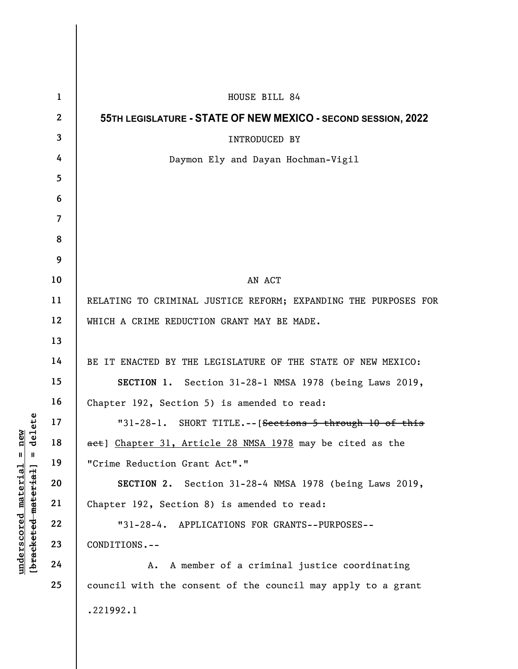| delete<br>new<br>$\mathsf{I}$<br>Ш<br><u>material</u><br>[bracketed material] | $\mathbf{1}$            | HOUSE BILL 84                                                   |
|-------------------------------------------------------------------------------|-------------------------|-----------------------------------------------------------------|
|                                                                               | $\overline{2}$          | 55TH LEGISLATURE - STATE OF NEW MEXICO - SECOND SESSION, 2022   |
|                                                                               | $\overline{\mathbf{3}}$ | INTRODUCED BY                                                   |
|                                                                               | 4                       | Daymon Ely and Dayan Hochman-Vigil                              |
|                                                                               | 5                       |                                                                 |
|                                                                               | 6                       |                                                                 |
|                                                                               | $\overline{7}$          |                                                                 |
|                                                                               | 8                       |                                                                 |
|                                                                               | 9                       |                                                                 |
|                                                                               | 10                      | AN ACT                                                          |
|                                                                               | 11                      | RELATING TO CRIMINAL JUSTICE REFORM; EXPANDING THE PURPOSES FOR |
|                                                                               | 12                      | WHICH A CRIME REDUCTION GRANT MAY BE MADE.                      |
|                                                                               | 13                      |                                                                 |
|                                                                               | 14                      | BE IT ENACTED BY THE LEGISLATURE OF THE STATE OF NEW MEXICO:    |
|                                                                               | 15                      | SECTION 1. Section 31-28-1 NMSA 1978 (being Laws 2019,          |
|                                                                               | 16                      | Chapter 192, Section 5) is amended to read:                     |
|                                                                               | 17                      | SHORT TITLE. -- [Sections 5 through 10 of this<br>$"31-28-1.$   |
|                                                                               | 18                      | act] Chapter 31, Article 28 NMSA 1978 may be cited as the       |
|                                                                               | 19                      | "Crime Reduction Grant Act"."                                   |
|                                                                               | 20                      | SECTION 2. Section 31-28-4 NMSA 1978 (being Laws 2019,          |
|                                                                               | 21                      | Chapter 192, Section 8) is amended to read:                     |
|                                                                               | 22                      | "31-28-4. APPLICATIONS FOR GRANTS--PURPOSES--                   |
| underscored                                                                   | 23                      | CONDITIONS.--                                                   |
|                                                                               | 24                      | A member of a criminal justice coordinating<br>А.               |
|                                                                               | 25                      | council with the consent of the council may apply to a grant    |
|                                                                               |                         | .221992.1                                                       |
|                                                                               |                         |                                                                 |

 $\mathsf I$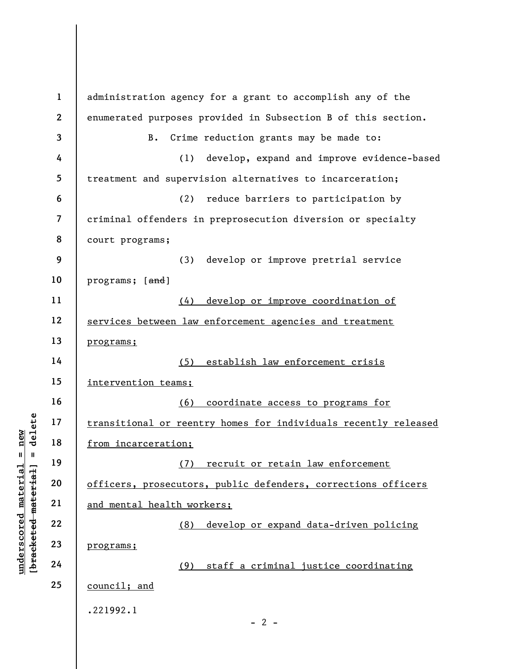underscored material = new [bracketed material] = delete 1 2 3 4 5 6 7 8 9 10 11 12 13 14 15 16 17 18 19 20 21 22 23 24 25 administration agency for a grant to accomplish any of the enumerated purposes provided in Subsection B of this section. B. Crime reduction grants may be made to: (1) develop, expand and improve evidence-based treatment and supervision alternatives to incarceration; (2) reduce barriers to participation by criminal offenders in preprosecution diversion or specialty court programs; (3) develop or improve pretrial service programs; [and] (4) develop or improve coordination of services between law enforcement agencies and treatment programs; (5) establish law enforcement crisis intervention teams; (6) coordinate access to programs for transitional or reentry homes for individuals recently released from incarceration; (7) recruit or retain law enforcement officers, prosecutors, public defenders, corrections officers and mental health workers; (8) develop or expand data-driven policing programs; (9) staff a criminal justice coordinating council; and .221992.1  $- 2 -$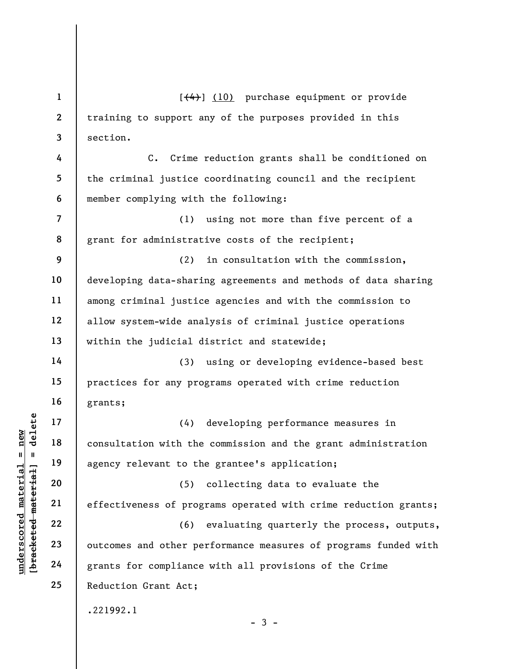underscored material material and the determined material of the determined and other periods.<br>
The determined material of the determined and other periods.<br>
The determined and other periods and other periods and other per 1 2 3 4 5 6 7 8 9 10 11 12 13 14 15 16 17 18 19 20 21 22 23 24 25  $[$ (4)] (10) purchase equipment or provide training to support any of the purposes provided in this section. C. Crime reduction grants shall be conditioned on the criminal justice coordinating council and the recipient member complying with the following: (1) using not more than five percent of a grant for administrative costs of the recipient; (2) in consultation with the commission, developing data-sharing agreements and methods of data sharing among criminal justice agencies and with the commission to allow system-wide analysis of criminal justice operations within the judicial district and statewide; (3) using or developing evidence-based best practices for any programs operated with crime reduction grants; (4) developing performance measures in consultation with the commission and the grant administration agency relevant to the grantee's application; (5) collecting data to evaluate the effectiveness of programs operated with crime reduction grants; (6) evaluating quarterly the process, outputs, outcomes and other performance measures of programs funded with grants for compliance with all provisions of the Crime Reduction Grant Act; .221992.1  $-3 -$